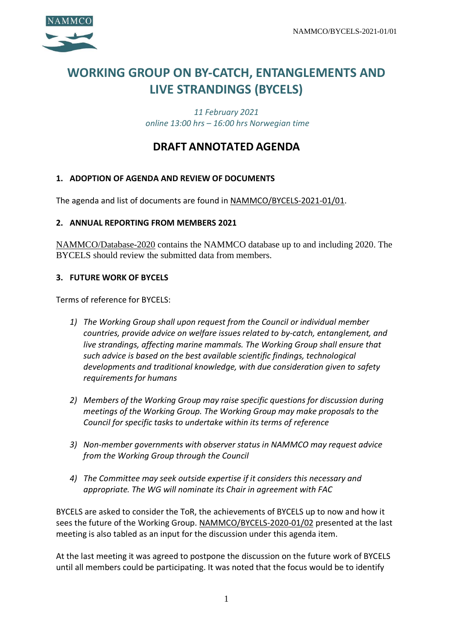

# **WORKING GROUP ON BY-CATCH, ENTANGLEMENTS AND LIVE STRANDINGS (BYCELS)**

*11 February 2021 online 13:00 hrs – 16:00 hrs Norwegian time*

# **DRAFT ANNOTATED AGENDA**

### **1. ADOPTION OF AGENDA AND REVIEW OF DOCUMENTS**

The agenda and list of documents are found in NAMMCO/BYCELS-2021-01/01.

#### **2. ANNUAL REPORTING FROM MEMBERS 2021**

NAMMCO/Database-2020 contains the NAMMCO database up to and including 2020. The BYCELS should review the submitted data from members.

#### **3. FUTURE WORK OF BYCELS**

Terms of reference for BYCELS:

- *1) The Working Group shall upon request from the Council or individual member countries, provide advice on welfare issues related to by-catch, entanglement, and live strandings, affecting marine mammals. The Working Group shall ensure that such advice is based on the best available scientific findings, technological developments and traditional knowledge, with due consideration given to safety requirements for humans*
- *2) Members of the Working Group may raise specific questions for discussion during meetings of the Working Group. The Working Group may make proposals to the Council for specific tasks to undertake within its terms of reference*
- *3) Non-member governments with observer status in NAMMCO may request advice from the Working Group through the Council*
- *4) The Committee may seek outside expertise if it considers this necessary and appropriate. The WG will nominate its Chair in agreement with FAC*

BYCELS are asked to consider the ToR, the achievements of BYCELS up to now and how it sees the future of the Working Group. NAMMCO/BYCELS-2020-01/02 presented at the last meeting is also tabled as an input for the discussion under this agenda item.

At the last meeting it was agreed to postpone the discussion on the future work of BYCELS until all members could be participating. It was noted that the focus would be to identify